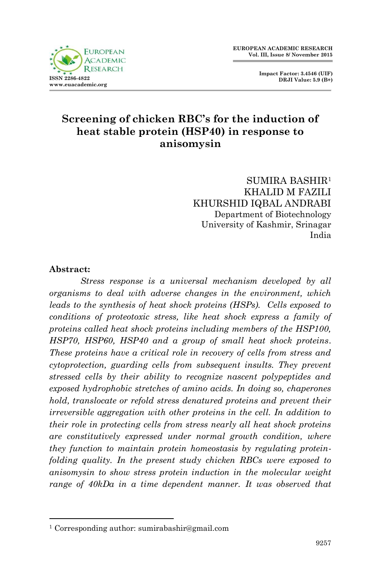



## **Screening of chicken RBC's for the induction of heat stable protein (HSP40) in response to anisomysin**

SUMIRA BASHIR<sup>1</sup> KHALID M FAZILI KHURSHID IQBAL ANDRABI Department of Biotechnology University of Kashmir, Srinagar India

#### **Abstract:**

1

*Stress response is a universal mechanism developed by all organisms to deal with adverse changes in the environment, which leads to the synthesis of heat shock proteins (HSPs). Cells exposed to conditions of proteotoxic stress, like heat shock express a family of proteins called heat shock proteins including members of the HSP100, HSP70, HSP60, HSP40 and a group of small heat shock proteins. These proteins have a critical role in recovery of cells from stress and cytoprotection, guarding cells from subsequent insults. They prevent stressed cells by their ability to recognize nascent polypeptides and exposed hydrophobic stretches of amino acids. In doing so, chaperones hold, translocate or refold stress denatured proteins and prevent their irreversible aggregation with other proteins in the cell. In addition to their role in protecting cells from stress nearly all heat shock proteins are constitutively expressed under normal growth condition, where they function to maintain protein homeostasis by regulating proteinfolding quality. In the present study chicken RBCs were exposed to anisomysin to show stress protein induction in the molecular weight range of 40kDa in a time dependent manner. It was observed that* 

<sup>1</sup> Corresponding author: sumirabashir@gmail.com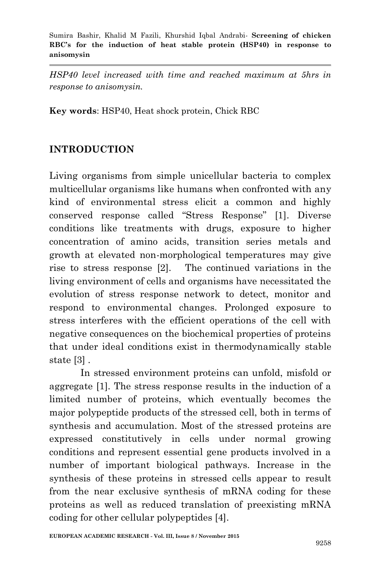*HSP40 level increased with time and reached maximum at 5hrs in response to anisomysin.*

**Key words**: HSP40, Heat shock protein, Chick RBC

## **INTRODUCTION**

Living organisms from simple unicellular bacteria to complex multicellular organisms like humans when confronted with any kind of environmental stress elicit a common and highly conserved response called "Stress Response" [1]. Diverse conditions like treatments with drugs, exposure to higher concentration of amino acids, transition series metals and growth at elevated non-morphological temperatures may give rise to stress response [2]. The continued variations in the living environment of cells and organisms have necessitated the evolution of stress response network to detect, monitor and respond to environmental changes. Prolonged exposure to stress interferes with the efficient operations of the cell with negative consequences on the biochemical properties of proteins that under ideal conditions exist in thermodynamically stable state [3] .

In stressed environment proteins can unfold, misfold or aggregate [1]. The stress response results in the induction of a limited number of proteins, which eventually becomes the major polypeptide products of the stressed cell, both in terms of synthesis and accumulation. Most of the stressed proteins are expressed constitutively in cells under normal growing conditions and represent essential gene products involved in a number of important biological pathways. Increase in the synthesis of these proteins in stressed cells appear to result from the near exclusive synthesis of mRNA coding for these proteins as well as reduced translation of preexisting mRNA coding for other cellular polypeptides [4].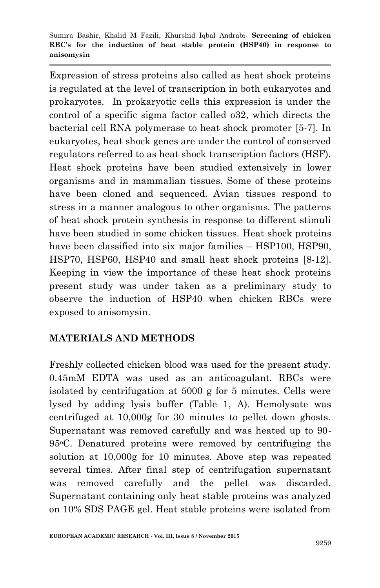Expression of stress proteins also called as heat shock proteins is regulated at the level of transcription in both eukaryotes and prokaryotes. In prokaryotic cells this expression is under the control of a specific sigma factor called σ32, which directs the bacterial cell RNA polymerase to heat shock promoter [5-7]. In eukaryotes, heat shock genes are under the control of conserved regulators referred to as heat shock transcription factors (HSF). Heat shock proteins have been studied extensively in lower organisms and in mammalian tissues. Some of these proteins have been cloned and sequenced. Avian tissues respond to stress in a manner analogous to other organisms. The patterns of heat shock protein synthesis in response to different stimuli have been studied in some chicken tissues. Heat shock proteins have been classified into six major families – HSP100, HSP90. HSP70, HSP60, HSP40 and small heat shock proteins [8-12]. Keeping in view the importance of these heat shock proteins present study was under taken as a preliminary study to observe the induction of HSP40 when chicken RBCs were exposed to anisomysin.

## **MATERIALS AND METHODS**

Freshly collected chicken blood was used for the present study. 0.45mM EDTA was used as an anticoagulant. RBCs were isolated by centrifugation at 5000 g for 5 minutes. Cells were lysed by adding lysis buffer (Table 1, A). Hemolysate was centrifuged at 10,000g for 30 minutes to pellet down ghosts. Supernatant was removed carefully and was heated up to 90- 95oC. Denatured proteins were removed by centrifuging the solution at 10,000g for 10 minutes. Above step was repeated several times. After final step of centrifugation supernatant was removed carefully and the pellet was discarded. Supernatant containing only heat stable proteins was analyzed on 10% SDS PAGE gel. Heat stable proteins were isolated from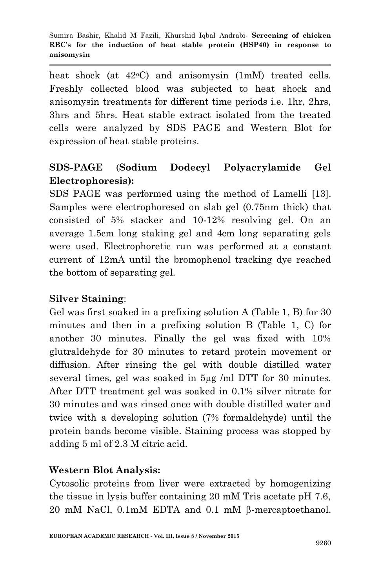heat shock (at  $42^{\circ}$ C) and anisomysin (1mM) treated cells. Freshly collected blood was subjected to heat shock and anisomysin treatments for different time periods i.e. 1hr, 2hrs, 3hrs and 5hrs. Heat stable extract isolated from the treated cells were analyzed by SDS PAGE and Western Blot for expression of heat stable proteins.

# **SDS-PAGE** (**Sodium Dodecyl Polyacrylamide Gel Electrophoresis):**

SDS PAGE was performed using the method of Lamelli [13]. Samples were electrophoresed on slab gel (0.75nm thick) that consisted of 5% stacker and 10-12% resolving gel. On an average 1.5cm long staking gel and 4cm long separating gels were used. Electrophoretic run was performed at a constant current of 12mA until the bromophenol tracking dye reached the bottom of separating gel.

## **Silver Staining**:

Gel was first soaked in a prefixing solution A (Table 1, B) for 30 minutes and then in a prefixing solution B (Table 1, C) for another 30 minutes. Finally the gel was fixed with 10% glutraldehyde for 30 minutes to retard protein movement or diffusion. After rinsing the gel with double distilled water several times, gel was soaked in 5µg /ml DTT for 30 minutes. After DTT treatment gel was soaked in 0.1% silver nitrate for 30 minutes and was rinsed once with double distilled water and twice with a developing solution (7% formaldehyde) until the protein bands become visible. Staining process was stopped by adding 5 ml of 2.3 M citric acid.

#### **Western Blot Analysis:**

Cytosolic proteins from liver were extracted by homogenizing the tissue in lysis buffer containing 20 mM Tris acetate pH 7.6, 20 mM NaCl,  $0.1$ mM EDTA and  $0.1$  mM  $\beta$ -mercaptoethanol.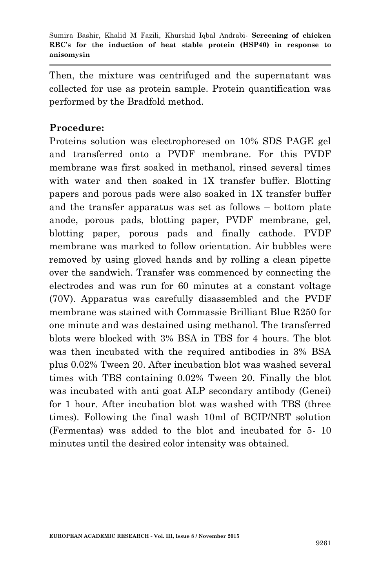Then, the mixture was centrifuged and the supernatant was collected for use as protein sample. Protein quantification was performed by the Bradfold method.

#### **Procedure:**

Proteins solution was electrophoresed on 10% SDS PAGE gel and transferred onto a PVDF membrane. For this PVDF membrane was first soaked in methanol, rinsed several times with water and then soaked in 1X transfer buffer. Blotting papers and porous pads were also soaked in 1X transfer buffer and the transfer apparatus was set as follows – bottom plate anode, porous pads, blotting paper, PVDF membrane, gel, blotting paper, porous pads and finally cathode. PVDF membrane was marked to follow orientation. Air bubbles were removed by using gloved hands and by rolling a clean pipette over the sandwich. Transfer was commenced by connecting the electrodes and was run for 60 minutes at a constant voltage (70V). Apparatus was carefully disassembled and the PVDF membrane was stained with Commassie Brilliant Blue R250 for one minute and was destained using methanol. The transferred blots were blocked with 3% BSA in TBS for 4 hours. The blot was then incubated with the required antibodies in 3% BSA plus 0.02% Tween 20. After incubation blot was washed several times with TBS containing 0.02% Tween 20. Finally the blot was incubated with anti goat ALP secondary antibody (Genei) for 1 hour. After incubation blot was washed with TBS (three times). Following the final wash 10ml of BCIP/NBT solution (Fermentas) was added to the blot and incubated for 5- 10 minutes until the desired color intensity was obtained.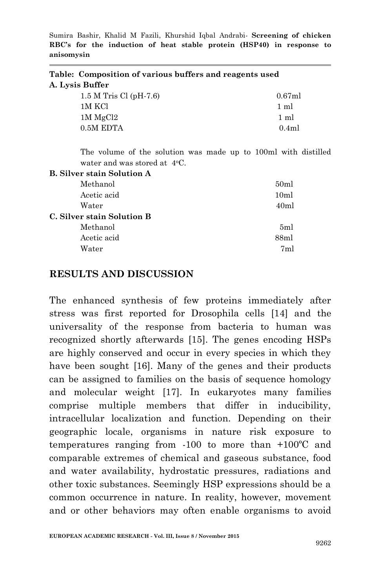| Table: Composition of various buffers and reagents used |  |
|---------------------------------------------------------|--|
| A. Lysis Buffer                                         |  |
|                                                         |  |

| $1.5 M$ Tris Cl (pH-7.6) | $0.67$ ml      |
|--------------------------|----------------|
| 1M KCl                   | $1 \text{ ml}$ |
| $1M$ MgCl2               | $1 \text{ ml}$ |
| 0.5M EDTA                | 0.4ml          |

The volume of the solution was made up to 100ml with distilled water and was stored at 4<sup>o</sup>C.

| <b>B.</b> Silver stain Solution A |                |
|-----------------------------------|----------------|
| Methanol                          | 50ml           |
| Acetic acid                       | 10ml           |
| Water                             | 40ml           |
| C. Silver stain Solution B        |                |
| Methanol                          | 5ml            |
| Acetic acid                       | 88ml           |
| Water                             | 7 <sub>m</sub> |
|                                   |                |

#### **RESULTS AND DISCUSSION**

The enhanced synthesis of few proteins immediately after stress was first reported for Drosophila cells [14] and the universality of the response from bacteria to human was recognized shortly afterwards [15]. The genes encoding HSPs are highly conserved and occur in every species in which they have been sought [16]. Many of the genes and their products can be assigned to families on the basis of sequence homology and molecular weight [17]. In eukaryotes many families comprise multiple members that differ in inducibility, intracellular localization and function. Depending on their geographic locale, organisms in nature risk exposure to temperatures ranging from -100 to more than +100ºC and comparable extremes of chemical and gaseous substance, food and water availability, hydrostatic pressures, radiations and other toxic substances. Seemingly HSP expressions should be a common occurrence in nature. In reality, however, movement and or other behaviors may often enable organisms to avoid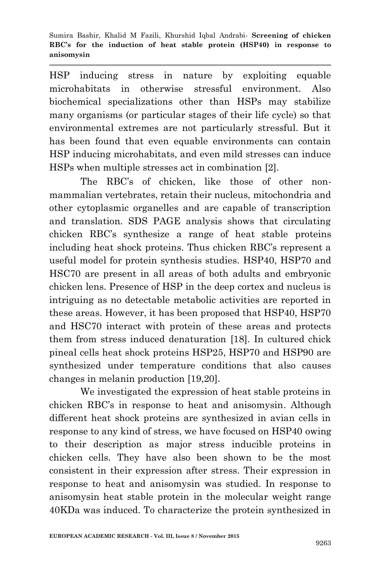HSP inducing stress in nature by exploiting equable microhabitats in otherwise stressful environment. Also biochemical specializations other than HSPs may stabilize many organisms (or particular stages of their life cycle) so that environmental extremes are not particularly stressful. But it has been found that even equable environments can contain HSP inducing microhabitats, and even mild stresses can induce HSPs when multiple stresses act in combination [2].

The RBC's of chicken, like those of other nonmammalian vertebrates, retain their nucleus, mitochondria and other cytoplasmic organelles and are capable of transcription and translation. SDS PAGE analysis shows that circulating chicken RBC's synthesize a range of heat stable proteins including heat shock proteins. Thus chicken RBC's represent a useful model for protein synthesis studies. HSP40, HSP70 and HSC70 are present in all areas of both adults and embryonic chicken lens. Presence of HSP in the deep cortex and nucleus is intriguing as no detectable metabolic activities are reported in these areas. However, it has been proposed that HSP40, HSP70 and HSC70 interact with protein of these areas and protects them from stress induced denaturation [18]. In cultured chick pineal cells heat shock proteins HSP25, HSP70 and HSP90 are synthesized under temperature conditions that also causes changes in melanin production [19,20].

We investigated the expression of heat stable proteins in chicken RBC's in response to heat and anisomysin. Although different heat shock proteins are synthesized in avian cells in response to any kind of stress, we have focused on HSP40 owing to their description as major stress inducible proteins in chicken cells. They have also been shown to be the most consistent in their expression after stress. Their expression in response to heat and anisomysin was studied. In response to anisomysin heat stable protein in the molecular weight range 40KDa was induced. To characterize the protein synthesized in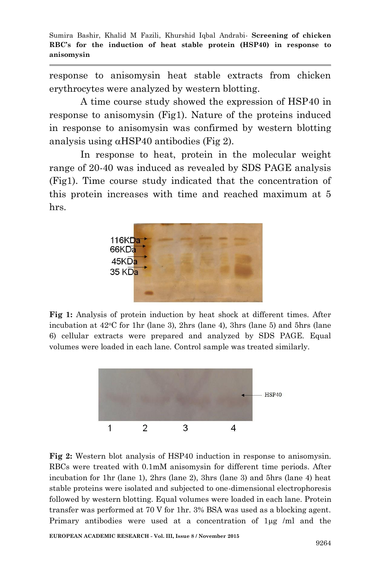response to anisomysin heat stable extracts from chicken erythrocytes were analyzed by western blotting.

A time course study showed the expression of HSP40 in response to anisomysin (Fig1). Nature of the proteins induced in response to anisomysin was confirmed by western blotting analysis using  $\alpha$ HSP40 antibodies (Fig 2).

In response to heat, protein in the molecular weight range of 20-40 was induced as revealed by SDS PAGE analysis (Fig1). Time course study indicated that the concentration of this protein increases with time and reached maximum at 5 hrs.



**Fig 1:** Analysis of protein induction by heat shock at different times. After incubation at  $42^{\circ}$ C for 1hr (lane 3), 2hrs (lane 4), 3hrs (lane 5) and 5hrs (lane 6) cellular extracts were prepared and analyzed by SDS PAGE. Equal volumes were loaded in each lane. Control sample was treated similarly.



**Fig 2:** Western blot analysis of HSP40 induction in response to anisomysin. RBCs were treated with 0.1mM anisomysin for different time periods. After incubation for 1hr (lane 1), 2hrs (lane 2), 3hrs (lane 3) and 5hrs (lane 4) heat stable proteins were isolated and subjected to one-dimensional electrophoresis followed by western blotting. Equal volumes were loaded in each lane. Protein transfer was performed at 70 V for 1hr. 3% BSA was used as a blocking agent. Primary antibodies were used at a concentration of  $\log /m$  and the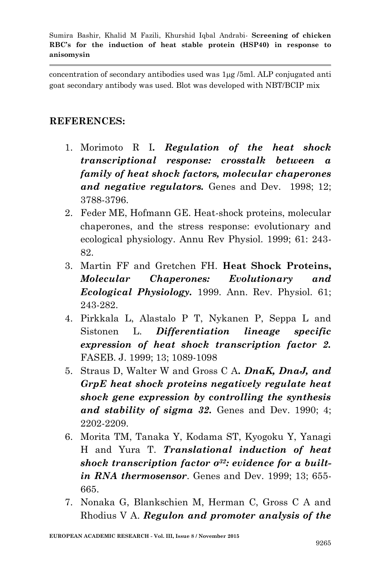concentration of secondary antibodies used was 1µg /5ml. ALP conjugated anti goat secondary antibody was used. Blot was developed with NBT/BCIP mix

### **REFERENCES:**

- 1. Morimoto R I*. Regulation of the heat shock transcriptional response: crosstalk between a family of heat shock factors, molecular chaperones and negative regulators.* Genes and Dev. 1998; 12; 3788-3796.
- 2. Feder ME, Hofmann GE. Heat-shock proteins, molecular chaperones, and the stress response: evolutionary and ecological physiology. Annu Rev Physiol. 1999; 61: 243- 82.
- 3. Martin FF and Gretchen FH. **Heat Shock Proteins,** *Molecular Chaperones: Evolutionary and Ecological Physiology.* 1999. Ann. Rev. Physiol. 61; 243-282.
- 4. Pirkkala L, Alastalo P T, Nykanen P, Seppa L and Sistonen L. *Differentiation lineage specific expression of heat shock transcription factor 2.* FASEB. J. 1999; 13; 1089-1098
- 5. Straus D, Walter W and Gross C A*. DnaK, DnaJ, and GrpE heat shock proteins negatively regulate heat shock gene expression by controlling the synthesis and stability of sigma 32.* Genes and Dev. 1990; 4; 2202-2209.
- 6. Morita TM, Tanaka Y, Kodama ST, Kyogoku Y, Yanagi H and Yura T. *Translational induction of heat shock transcription factor σ32: evidence for a builtin RNA thermosensor*. Genes and Dev. 1999; 13; 655- 665.
- 7. Nonaka G, Blankschien M, Herman C, Gross C A and Rhodius V A. *Regulon and promoter analysis of the*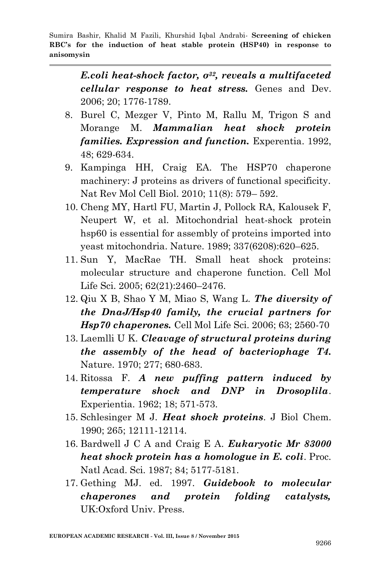> *E.coli heat-shock factor, σ32, reveals a multifaceted cellular response to heat stress.* Genes and Dev. 2006; 20; 1776-1789.

- 8. Burel C, Mezger V, Pinto M, Rallu M, Trigon S and Morange M. *Mammalian heat shock protein families. Expression and function.* Experentia. 1992, 48; 629-634.
- 9. Kampinga HH, Craig EA. The HSP70 chaperone machinery: J proteins as drivers of functional specificity. Nat Rev Mol Cell Biol. 2010; 11(8): 579– 592.
- 10. Cheng MY, Hartl FU, Martin J, Pollock RA, Kalousek F, Neupert W, et al. Mitochondrial heat-shock protein hsp60 is essential for assembly of proteins imported into yeast mitochondria. Nature. 1989; 337(6208):620–625.
- 11. Sun Y, MacRae TH. Small heat shock proteins: molecular structure and chaperone function. Cell Mol Life Sci. 2005; 62(21):2460–2476.
- 12. Qiu X B, Shao Y M, Miao S, Wang L. *The diversity of the DnaJ/Hsp40 family, the crucial partners for Hsp70 chaperones.* Cell Mol Life Sci. 2006; 63; 2560-70
- 13. Laemlli U K. *Cleavage of structural proteins during the assembly of the head of bacteriophage T4.* Nature. 1970; 277; 680-683.
- 14. Ritossa F. *A new puffing pattern induced by temperature shock and DNP in Drosoplila*. Experientia. 1962; 18; 571-573.
- 15. Schlesinger M J*. Heat shock proteins*. J Biol Chem. 1990; 265; 12111-12114.
- 16. Bardwell J C A and Craig E A. *Eukaryotic Mr 83000 heat shock protein has a homologue in E. coli*. Proc. Natl Acad. Sci. 1987; 84; 5177-5181.
- 17. Gething MJ. ed. 1997. *Guidebook to molecular chaperones and protein folding catalysts,* UK:Oxford Univ. Press.